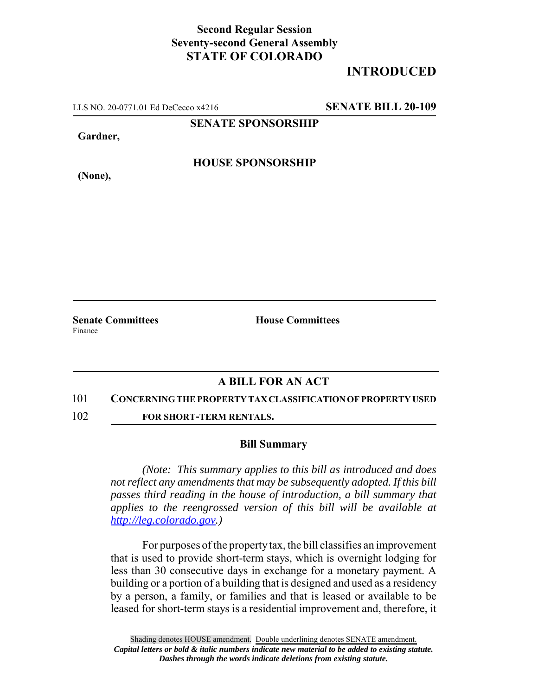## **Second Regular Session Seventy-second General Assembly STATE OF COLORADO**

# **INTRODUCED**

LLS NO. 20-0771.01 Ed DeCecco x4216 **SENATE BILL 20-109**

**SENATE SPONSORSHIP**

**Gardner,**

**HOUSE SPONSORSHIP**

**(None),**

**Senate Committees House Committees** Finance

### **A BILL FOR AN ACT**

#### 101 **CONCERNING THE PROPERTY TAX CLASSIFICATION OF PROPERTY USED**

102 **FOR SHORT-TERM RENTALS.**

### **Bill Summary**

*(Note: This summary applies to this bill as introduced and does not reflect any amendments that may be subsequently adopted. If this bill passes third reading in the house of introduction, a bill summary that applies to the reengrossed version of this bill will be available at http://leg.colorado.gov.)*

For purposes of the property tax, the bill classifies an improvement that is used to provide short-term stays, which is overnight lodging for less than 30 consecutive days in exchange for a monetary payment. A building or a portion of a building that is designed and used as a residency by a person, a family, or families and that is leased or available to be leased for short-term stays is a residential improvement and, therefore, it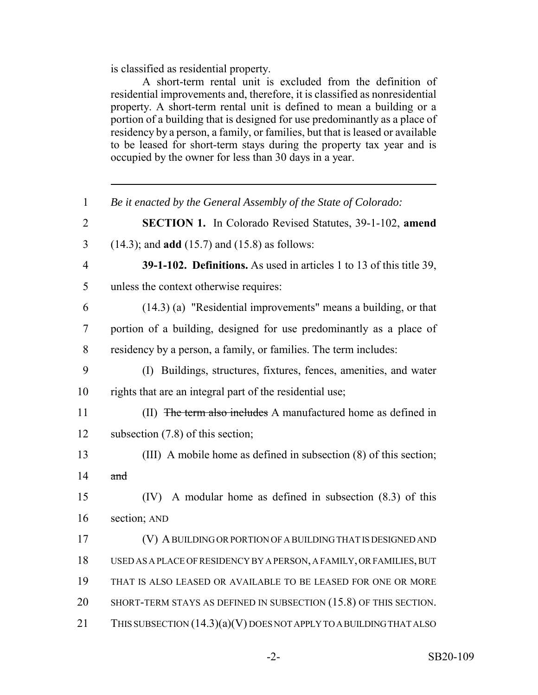is classified as residential property.

A short-term rental unit is excluded from the definition of residential improvements and, therefore, it is classified as nonresidential property. A short-term rental unit is defined to mean a building or a portion of a building that is designed for use predominantly as a place of residency by a person, a family, or families, but that is leased or available to be leased for short-term stays during the property tax year and is occupied by the owner for less than 30 days in a year.

| $\mathbf{1}$   | Be it enacted by the General Assembly of the State of Colorado:       |
|----------------|-----------------------------------------------------------------------|
| $\overline{2}$ | <b>SECTION 1.</b> In Colorado Revised Statutes, 39-1-102, amend       |
| $\overline{3}$ | $(14.3)$ ; and <b>add</b> $(15.7)$ and $(15.8)$ as follows:           |
| $\overline{4}$ | 39-1-102. Definitions. As used in articles 1 to 13 of this title 39,  |
| 5              | unless the context otherwise requires:                                |
| 6              | (14.3) (a) "Residential improvements" means a building, or that       |
| 7              | portion of a building, designed for use predominantly as a place of   |
| 8              | residency by a person, a family, or families. The term includes:      |
| 9              | (I) Buildings, structures, fixtures, fences, amenities, and water     |
| 10             | rights that are an integral part of the residential use;              |
| 11             | (II) The term also includes A manufactured home as defined in         |
| 12             | subsection $(7.8)$ of this section;                                   |
| 13             | (III) A mobile home as defined in subsection (8) of this section;     |
| 14             | and                                                                   |
| 15             | $(IV)$ A modular home as defined in subsection $(8.3)$ of this        |
| 16             | section; AND                                                          |
| 17             | (V) A BUILDING OR PORTION OF A BUILDING THAT IS DESIGNED AND          |
| 18             | USED AS A PLACE OF RESIDENCY BY A PERSON, A FAMILY, OR FAMILIES, BUT  |
| 19             | THAT IS ALSO LEASED OR AVAILABLE TO BE LEASED FOR ONE OR MORE         |
| 20             | SHORT-TERM STAYS AS DEFINED IN SUBSECTION (15.8) OF THIS SECTION.     |
| 21             | THIS SUBSECTION $(14.3)(a)(V)$ DOES NOT APPLY TO A BUILDING THAT ALSO |
|                |                                                                       |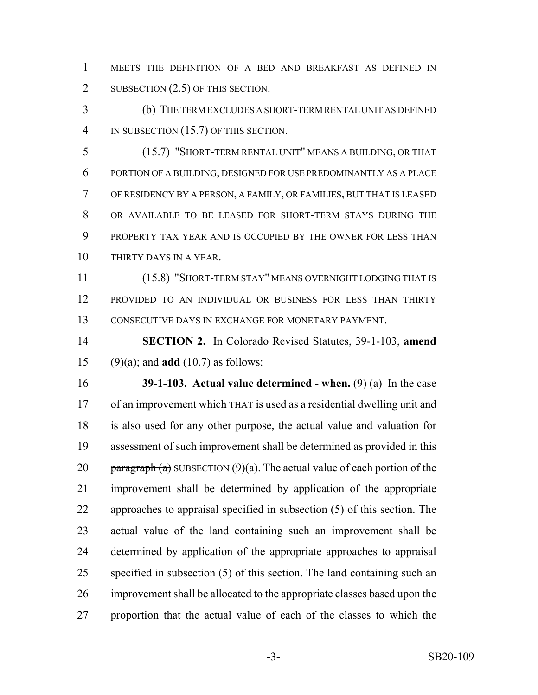MEETS THE DEFINITION OF A BED AND BREAKFAST AS DEFINED IN 2 SUBSECTION (2.5) OF THIS SECTION.

 (b) THE TERM EXCLUDES A SHORT-TERM RENTAL UNIT AS DEFINED IN SUBSECTION (15.7) OF THIS SECTION.

 (15.7) "SHORT-TERM RENTAL UNIT" MEANS A BUILDING, OR THAT PORTION OF A BUILDING, DESIGNED FOR USE PREDOMINANTLY AS A PLACE OF RESIDENCY BY A PERSON, A FAMILY, OR FAMILIES, BUT THAT IS LEASED OR AVAILABLE TO BE LEASED FOR SHORT-TERM STAYS DURING THE PROPERTY TAX YEAR AND IS OCCUPIED BY THE OWNER FOR LESS THAN THIRTY DAYS IN A YEAR.

 (15.8) "SHORT-TERM STAY" MEANS OVERNIGHT LODGING THAT IS PROVIDED TO AN INDIVIDUAL OR BUSINESS FOR LESS THAN THIRTY CONSECUTIVE DAYS IN EXCHANGE FOR MONETARY PAYMENT.

 **SECTION 2.** In Colorado Revised Statutes, 39-1-103, **amend** (9)(a); and **add** (10.7) as follows:

 **39-1-103. Actual value determined - when.** (9) (a) In the case 17 of an improvement which THAT is used as a residential dwelling unit and is also used for any other purpose, the actual value and valuation for assessment of such improvement shall be determined as provided in this 20 paragraph (a) SUBSECTION (9)(a). The actual value of each portion of the improvement shall be determined by application of the appropriate approaches to appraisal specified in subsection (5) of this section. The actual value of the land containing such an improvement shall be determined by application of the appropriate approaches to appraisal specified in subsection (5) of this section. The land containing such an improvement shall be allocated to the appropriate classes based upon the proportion that the actual value of each of the classes to which the